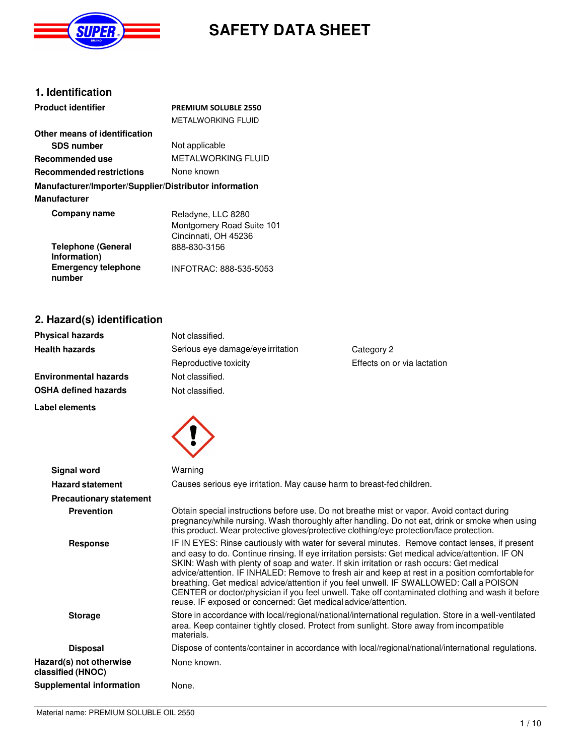

# **SAFETY DATA SHEET**

#### **1. Identification**

| <b>Product identifier</b>                              | <b>PREMIUM SOLUBLE 2550</b>                       |
|--------------------------------------------------------|---------------------------------------------------|
|                                                        | METAI WORKING FI UID                              |
| Other means of identification                          |                                                   |
| <b>SDS number</b>                                      | Not applicable                                    |
| Recommended use                                        | METAI WORKING FI UID                              |
| <b>Recommended restrictions</b>                        | None known                                        |
| Manufacturer/Importer/Supplier/Distributor information |                                                   |
| Manufacturer                                           |                                                   |
| Company name                                           | Reladyne, LLC 8280                                |
|                                                        | Montgomery Road Suite 101<br>Cincinnati, OH 45236 |
| <b>Telephone (General</b><br>Information)              | 888-830-3156                                      |
| <b>Emergency telephone</b><br>number                   | INFOTRAC: 888-535-5053                            |

### **2. Hazard(s) identification**

| <b>Physical hazards</b>      | Not classified.                                 |                             |
|------------------------------|-------------------------------------------------|-----------------------------|
| <b>Health hazards</b>        | Serious eye damage/eye irritation<br>Category 2 |                             |
|                              | Reproductive toxicity                           | Effects on or via lactation |
| <b>Environmental hazards</b> | Not classified.                                 |                             |
| <b>OSHA defined hazards</b>  | Not classified.                                 |                             |





| Signal word                                  | Warning                                                                                                                                                                                                                                                                                                                                                                                                                                                                                                                                                                                                                                                             |
|----------------------------------------------|---------------------------------------------------------------------------------------------------------------------------------------------------------------------------------------------------------------------------------------------------------------------------------------------------------------------------------------------------------------------------------------------------------------------------------------------------------------------------------------------------------------------------------------------------------------------------------------------------------------------------------------------------------------------|
| <b>Hazard statement</b>                      | Causes serious eye irritation. May cause harm to breast-fed children.                                                                                                                                                                                                                                                                                                                                                                                                                                                                                                                                                                                               |
| <b>Precautionary statement</b>               |                                                                                                                                                                                                                                                                                                                                                                                                                                                                                                                                                                                                                                                                     |
| <b>Prevention</b>                            | Obtain special instructions before use. Do not breathe mist or vapor. Avoid contact during<br>pregnancy/while nursing. Wash thoroughly after handling. Do not eat, drink or smoke when using<br>this product. Wear protective gloves/protective clothing/eye protection/face protection.                                                                                                                                                                                                                                                                                                                                                                            |
| Response                                     | IF IN EYES: Rinse cautiously with water for several minutes. Remove contact lenses, if present<br>and easy to do. Continue rinsing. If eye irritation persists: Get medical advice/attention. IF ON<br>SKIN: Wash with plenty of soap and water. If skin irritation or rash occurs: Get medical<br>advice/attention. IF INHALED: Remove to fresh air and keep at rest in a position comfortable for<br>breathing. Get medical advice/attention if you feel unwell. IF SWALLOWED: Call a POISON<br>CENTER or doctor/physician if you feel unwell. Take off contaminated clothing and wash it before<br>reuse. IF exposed or concerned: Get medical advice/attention. |
| <b>Storage</b>                               | Store in accordance with local/regional/national/international regulation. Store in a well-ventilated<br>area. Keep container tightly closed. Protect from sunlight. Store away from incompatible<br>materials.                                                                                                                                                                                                                                                                                                                                                                                                                                                     |
| <b>Disposal</b>                              | Dispose of contents/container in accordance with local/regional/national/international regulations.                                                                                                                                                                                                                                                                                                                                                                                                                                                                                                                                                                 |
| Hazard(s) not otherwise<br>classified (HNOC) | None known.                                                                                                                                                                                                                                                                                                                                                                                                                                                                                                                                                                                                                                                         |
| Supplemental information                     | None.                                                                                                                                                                                                                                                                                                                                                                                                                                                                                                                                                                                                                                                               |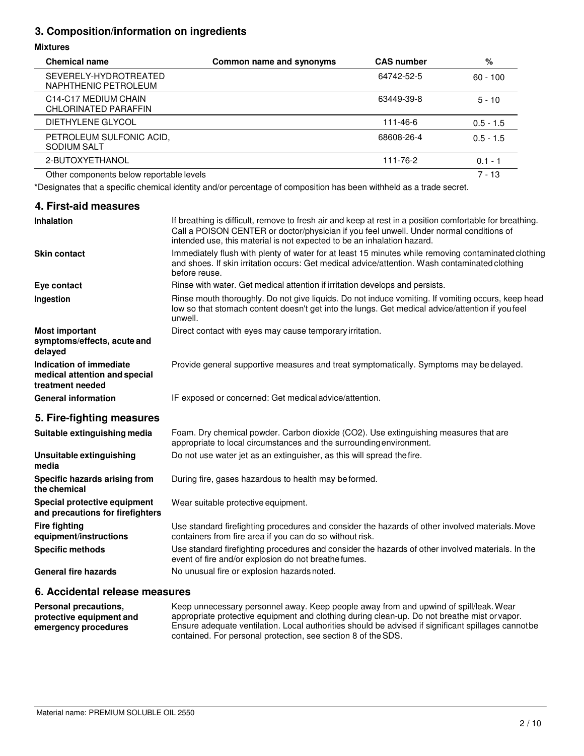#### **3. Composition/information on ingredients**

#### **Mixtures**

| <b>Chemical name</b>                          | Common name and synonyms | <b>CAS number</b> | %           |
|-----------------------------------------------|--------------------------|-------------------|-------------|
| SEVERELY-HYDROTREATED<br>NAPHTHENIC PETROLEUM |                          | 64742-52-5        | $60 - 100$  |
| C14-C17 MEDIUM CHAIN<br>CHLORINATED PARAFFIN  |                          | 63449-39-8        | $5 - 10$    |
| DIETHYLENE GLYCOL                             |                          | 111-46-6          | $0.5 - 1.5$ |
| PETROLEUM SULFONIC ACID,<br>SODIUM SALT       |                          | 68608-26-4        | $0.5 - 1.5$ |
| 2-BUTOXYETHANOL                               |                          | 111-76-2          | $0.1 - 1$   |
| Other components below reportable levels      |                          |                   | $7 - 13$    |

\*Designates that a specific chemical identity and/or percentage of composition has been withheld as a trade secret.

| 4. First-aid measures                                                        |                                                                                                                                                                                                                                                                                |
|------------------------------------------------------------------------------|--------------------------------------------------------------------------------------------------------------------------------------------------------------------------------------------------------------------------------------------------------------------------------|
| Inhalation                                                                   | If breathing is difficult, remove to fresh air and keep at rest in a position comfortable for breathing.<br>Call a POISON CENTER or doctor/physician if you feel unwell. Under normal conditions of<br>intended use, this material is not expected to be an inhalation hazard. |
| <b>Skin contact</b>                                                          | Immediately flush with plenty of water for at least 15 minutes while removing contaminated clothing<br>and shoes. If skin irritation occurs: Get medical advice/attention. Wash contaminated clothing<br>before reuse.                                                         |
| Eye contact                                                                  | Rinse with water. Get medical attention if irritation develops and persists.                                                                                                                                                                                                   |
| Ingestion                                                                    | Rinse mouth thoroughly. Do not give liquids. Do not induce vomiting. If vomiting occurs, keep head<br>low so that stomach content doesn't get into the lungs. Get medical advice/attention if you feel<br>unwell.                                                              |
| <b>Most important</b><br>symptoms/effects, acute and<br>delayed              | Direct contact with eyes may cause temporary irritation.                                                                                                                                                                                                                       |
| Indication of immediate<br>medical attention and special<br>treatment needed | Provide general supportive measures and treat symptomatically. Symptoms may be delayed.                                                                                                                                                                                        |
| <b>General information</b>                                                   | IF exposed or concerned: Get medical advice/attention.                                                                                                                                                                                                                         |
| 5. Fire-fighting measures                                                    |                                                                                                                                                                                                                                                                                |
| Suitable extinguishing media                                                 | Foam. Dry chemical powder. Carbon dioxide (CO2). Use extinguishing measures that are<br>appropriate to local circumstances and the surrounding environment.                                                                                                                    |
| Unsuitable extinguishing<br>media                                            | Do not use water jet as an extinguisher, as this will spread the fire.                                                                                                                                                                                                         |
| Specific hazards arising from<br>the chemical                                | During fire, gases hazardous to health may be formed.                                                                                                                                                                                                                          |
| Special protective equipment<br>and precautions for firefighters             | Wear suitable protective equipment.                                                                                                                                                                                                                                            |
| <b>Fire fighting</b><br>equipment/instructions                               | Use standard firefighting procedures and consider the hazards of other involved materials. Move<br>containers from fire area if you can do so without risk.                                                                                                                    |
| <b>Specific methods</b>                                                      | Use standard firefighting procedures and consider the hazards of other involved materials. In the<br>event of fire and/or explosion do not breathe fumes.                                                                                                                      |
| <b>General fire hazards</b>                                                  | No unusual fire or explosion hazards noted.                                                                                                                                                                                                                                    |

#### **6. Accidental release measures**

**Personal precautions, protective equipment and emergency procedures** Keep unnecessary personnel away. Keep people away from and upwind of spill/leak. Wear appropriate protective equipment and clothing during clean-up. Do not breathe mist or vapor. Ensure adequate ventilation. Local authorities should be advised if significant spillages cannot be contained. For personal protection, see section 8 of the SDS.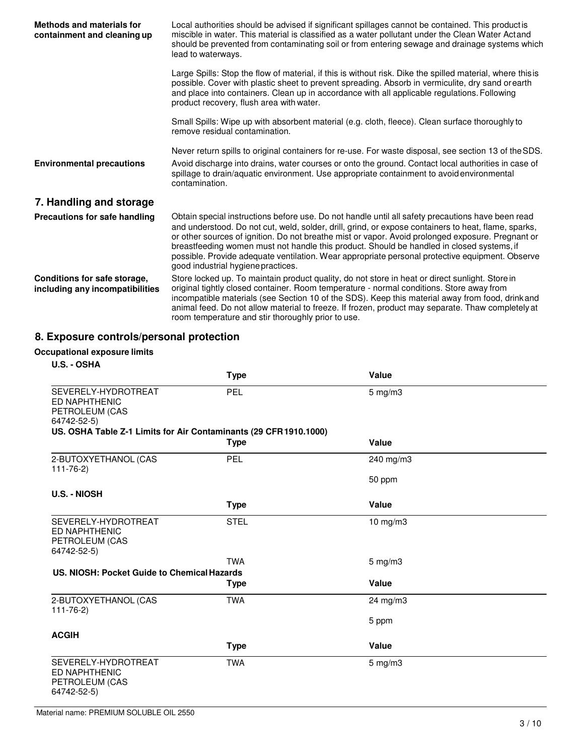| <b>Methods and materials for</b><br>containment and cleaning up | Local authorities should be advised if significant spillages cannot be contained. This product is<br>miscible in water. This material is classified as a water pollutant under the Clean Water Actand<br>should be prevented from contaminating soil or from entering sewage and drainage systems which<br>lead to waterways.                                                                                                                                                                                                                        |
|-----------------------------------------------------------------|------------------------------------------------------------------------------------------------------------------------------------------------------------------------------------------------------------------------------------------------------------------------------------------------------------------------------------------------------------------------------------------------------------------------------------------------------------------------------------------------------------------------------------------------------|
|                                                                 | Large Spills: Stop the flow of material, if this is without risk. Dike the spilled material, where this is<br>possible. Cover with plastic sheet to prevent spreading. Absorb in vermiculite, dry sand orearth<br>and place into containers. Clean up in accordance with all applicable regulations. Following<br>product recovery, flush area with water.                                                                                                                                                                                           |
|                                                                 | Small Spills: Wipe up with absorbent material (e.g. cloth, fleece). Clean surface thoroughly to<br>remove residual contamination.                                                                                                                                                                                                                                                                                                                                                                                                                    |
|                                                                 | Never return spills to original containers for re-use. For waste disposal, see section 13 of the SDS.                                                                                                                                                                                                                                                                                                                                                                                                                                                |
| <b>Environmental precautions</b>                                | Avoid discharge into drains, water courses or onto the ground. Contact local authorities in case of<br>spillage to drain/aquatic environment. Use appropriate containment to avoid environmental<br>contamination.                                                                                                                                                                                                                                                                                                                                   |
| 7. Handling and storage                                         |                                                                                                                                                                                                                                                                                                                                                                                                                                                                                                                                                      |
| Precautions for safe handling                                   | Obtain special instructions before use. Do not handle until all safety precautions have been read<br>and understood. Do not cut, weld, solder, drill, grind, or expose containers to heat, flame, sparks,<br>or other sources of ignition. Do not breathe mist or vapor. Avoid prolonged exposure. Pregnant or<br>breastfeeding women must not handle this product. Should be handled in closed systems, if<br>possible. Provide adequate ventilation. Wear appropriate personal protective equipment. Observe<br>good industrial hygiene practices. |
| Conditions for safe storage,<br>including any incompatibilities | Store locked up. To maintain product quality, do not store in heat or direct sunlight. Store in<br>original tightly closed container. Room temperature - normal conditions. Store away from<br>incompatible materials (see Section 10 of the SDS). Keep this material away from food, drink and<br>animal feed. Do not allow material to freeze. If frozen, product may separate. Thaw completely at<br>room temperature and stir thoroughly prior to use.                                                                                           |

## **8. Exposure controls/personal protection**

#### **Occupational exposure limits**

| U.S. - OSHA                                                                  |             |              |
|------------------------------------------------------------------------------|-------------|--------------|
|                                                                              | <b>Type</b> | Value        |
| SEVERELY-HYDROTREAT<br><b>ED NAPHTHENIC</b><br>PETROLEUM (CAS<br>64742-52-5) | <b>PEL</b>  | $5$ mg/m $3$ |
| US. OSHA Table Z-1 Limits for Air Contaminants (29 CFR 1910.1000)            |             |              |
|                                                                              | <b>Type</b> | Value        |
| 2-BUTOXYETHANOL (CAS<br>$111 - 76 - 2)$                                      | PEL         | 240 mg/m3    |
|                                                                              |             | 50 ppm       |
| <b>U.S. - NIOSH</b>                                                          |             |              |
|                                                                              | <b>Type</b> | Value        |
| SEVERELY-HYDROTREAT<br><b>ED NAPHTHENIC</b><br>PETROLEUM (CAS<br>64742-52-5) | <b>STEL</b> | 10 mg/m3     |
|                                                                              | <b>TWA</b>  | $5$ mg/m $3$ |
| US. NIOSH: Pocket Guide to Chemical Hazards                                  |             |              |
|                                                                              | <b>Type</b> | Value        |
| 2-BUTOXYETHANOL (CAS<br>$111 - 76 - 2)$                                      | <b>TWA</b>  | 24 mg/m3     |
|                                                                              |             | 5 ppm        |
| <b>ACGIH</b>                                                                 |             |              |
|                                                                              | <b>Type</b> | Value        |
| SEVERELY-HYDROTREAT<br><b>ED NAPHTHENIC</b><br>PETROLEUM (CAS<br>64742-52-5) | <b>TWA</b>  | $5$ mg/m $3$ |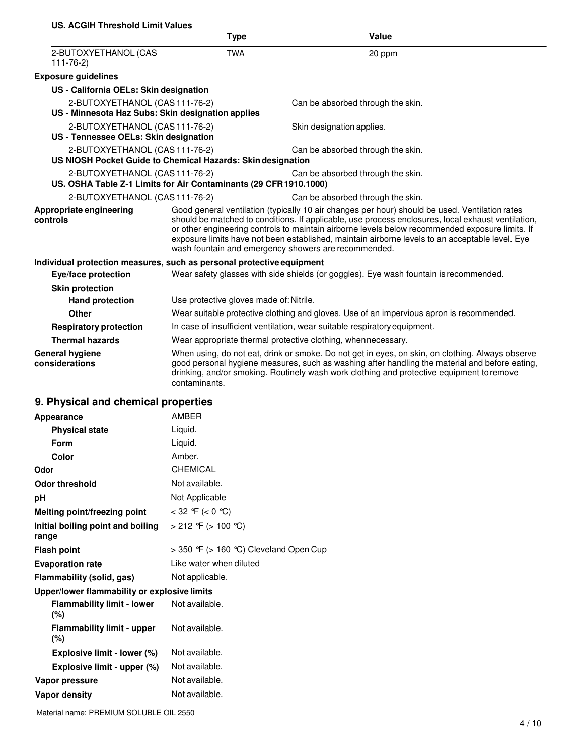#### **US. ACGIH Threshold Limit Values**

|                                                                                                     | <b>Type</b>                                                                                                                                                                                                                                                                                                                                                                                                                                                        | Value                                                                                                                                                                                                                                                                                           |
|-----------------------------------------------------------------------------------------------------|--------------------------------------------------------------------------------------------------------------------------------------------------------------------------------------------------------------------------------------------------------------------------------------------------------------------------------------------------------------------------------------------------------------------------------------------------------------------|-------------------------------------------------------------------------------------------------------------------------------------------------------------------------------------------------------------------------------------------------------------------------------------------------|
| 2-BUTOXYETHANOL (CAS<br>$111 - 76 - 2$                                                              | <b>TWA</b>                                                                                                                                                                                                                                                                                                                                                                                                                                                         | 20 ppm                                                                                                                                                                                                                                                                                          |
| <b>Exposure guidelines</b>                                                                          |                                                                                                                                                                                                                                                                                                                                                                                                                                                                    |                                                                                                                                                                                                                                                                                                 |
| US - California OELs: Skin designation                                                              |                                                                                                                                                                                                                                                                                                                                                                                                                                                                    |                                                                                                                                                                                                                                                                                                 |
| 2-BUTOXYETHANOL (CAS 111-76-2)<br>US - Minnesota Haz Subs: Skin designation applies                 |                                                                                                                                                                                                                                                                                                                                                                                                                                                                    | Can be absorbed through the skin.                                                                                                                                                                                                                                                               |
| 2-BUTOXYETHANOL (CAS 111-76-2)<br>US - Tennessee OELs: Skin designation                             |                                                                                                                                                                                                                                                                                                                                                                                                                                                                    | Skin designation applies.                                                                                                                                                                                                                                                                       |
| 2-BUTOXYETHANOL (CAS 111-76-2)<br>US NIOSH Pocket Guide to Chemical Hazards: Skin designation       |                                                                                                                                                                                                                                                                                                                                                                                                                                                                    | Can be absorbed through the skin.                                                                                                                                                                                                                                                               |
| 2-BUTOXYETHANOL (CAS 111-76-2)<br>US. OSHA Table Z-1 Limits for Air Contaminants (29 CFR 1910.1000) |                                                                                                                                                                                                                                                                                                                                                                                                                                                                    | Can be absorbed through the skin.                                                                                                                                                                                                                                                               |
| 2-BUTOXYETHANOL (CAS 111-76-2)                                                                      |                                                                                                                                                                                                                                                                                                                                                                                                                                                                    | Can be absorbed through the skin.                                                                                                                                                                                                                                                               |
| Appropriate engineering<br>controls                                                                 | Good general ventilation (typically 10 air changes per hour) should be used. Ventilation rates<br>should be matched to conditions. If applicable, use process enclosures, local exhaust ventilation,<br>or other engineering controls to maintain airborne levels below recommended exposure limits. If<br>exposure limits have not been established, maintain airborne levels to an acceptable level. Eye<br>wash fountain and emergency showers are recommended. |                                                                                                                                                                                                                                                                                                 |
| Individual protection measures, such as personal protective equipment                               |                                                                                                                                                                                                                                                                                                                                                                                                                                                                    |                                                                                                                                                                                                                                                                                                 |
| Eye/face protection                                                                                 |                                                                                                                                                                                                                                                                                                                                                                                                                                                                    | Wear safety glasses with side shields (or goggles). Eye wash fountain is recommended.                                                                                                                                                                                                           |
| <b>Skin protection</b>                                                                              |                                                                                                                                                                                                                                                                                                                                                                                                                                                                    |                                                                                                                                                                                                                                                                                                 |
| <b>Hand protection</b>                                                                              | Use protective gloves made of: Nitrile.                                                                                                                                                                                                                                                                                                                                                                                                                            |                                                                                                                                                                                                                                                                                                 |
| Other                                                                                               |                                                                                                                                                                                                                                                                                                                                                                                                                                                                    | Wear suitable protective clothing and gloves. Use of an impervious apron is recommended.                                                                                                                                                                                                        |
| <b>Respiratory protection</b>                                                                       |                                                                                                                                                                                                                                                                                                                                                                                                                                                                    | In case of insufficient ventilation, wear suitable respiratory equipment.                                                                                                                                                                                                                       |
| <b>Thermal hazards</b>                                                                              |                                                                                                                                                                                                                                                                                                                                                                                                                                                                    | Wear appropriate thermal protective clothing, when necessary.                                                                                                                                                                                                                                   |
| <b>General hygiene</b><br>considerations                                                            | contaminants.                                                                                                                                                                                                                                                                                                                                                                                                                                                      | When using, do not eat, drink or smoke. Do not get in eyes, on skin, on clothing. Always observe<br>good personal hygiene measures, such as washing after handling the material and before eating,<br>drinking, and/or smoking. Routinely wash work clothing and protective equipment to remove |
|                                                                                                     |                                                                                                                                                                                                                                                                                                                                                                                                                                                                    |                                                                                                                                                                                                                                                                                                 |

## **9. Physical and chemical properties**

| Appearance                                   | <b>AMBER</b>                                |
|----------------------------------------------|---------------------------------------------|
| <b>Physical state</b>                        | Liquid.                                     |
| Form                                         | Liquid.                                     |
| Color                                        | Amber.                                      |
| Odor                                         | <b>CHEMICAL</b>                             |
| <b>Odor threshold</b>                        | Not available.                              |
| рH                                           | Not Applicable                              |
| Melting point/freezing point                 | < 32 °F (< 0 °C)                            |
| Initial boiling point and boiling<br>range   | > 212 °F (> 100 °C)                         |
| <b>Flash point</b>                           | $>$ 350 °F ( $>$ 160 °C) Cleveland Open Cup |
|                                              |                                             |
| <b>Evaporation rate</b>                      | Like water when diluted                     |
| Flammability (solid, gas)                    | Not applicable.                             |
| Upper/lower flammability or explosive limits |                                             |
| <b>Flammability limit - lower</b><br>(%)     | Not available.                              |
| <b>Flammability limit - upper</b><br>$(\%)$  | Not available.                              |
| Explosive limit - lower (%)                  | Not available.                              |
| Explosive limit - upper (%)                  | Not available.                              |
| Vapor pressure                               | Not available.                              |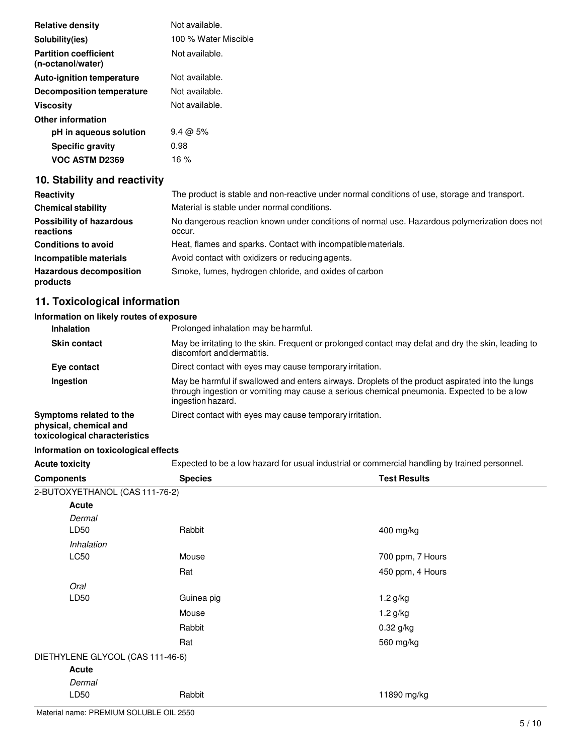| <b>Relative density</b>                           | Not available.       |
|---------------------------------------------------|----------------------|
| Solubility(ies)                                   | 100 % Water Miscible |
| <b>Partition coefficient</b><br>(n-octanol/water) | Not available.       |
| <b>Auto-ignition temperature</b>                  | Not available.       |
| Decomposition temperature                         | Not available.       |
| <b>Viscosity</b>                                  | Not available.       |
| Other information                                 |                      |
| pH in aqueous solution                            | $9.4 \omega 5\%$     |
| <b>Specific gravity</b>                           | 0.98                 |
| VOC ASTM D2369                                    | 16 %                 |

### **10. Stability and reactivity**

| Reactivity                                   | The product is stable and non-reactive under normal conditions of use, storage and transport.           |
|----------------------------------------------|---------------------------------------------------------------------------------------------------------|
| <b>Chemical stability</b>                    | Material is stable under normal conditions.                                                             |
| <b>Possibility of hazardous</b><br>reactions | No dangerous reaction known under conditions of normal use. Hazardous polymerization does not<br>occur. |
| <b>Conditions to avoid</b>                   | Heat, flames and sparks. Contact with incompatible materials.                                           |
| Incompatible materials                       | Avoid contact with oxidizers or reducing agents.                                                        |
| <b>Hazardous decomposition</b><br>products   | Smoke, fumes, hydrogen chloride, and oxides of carbon                                                   |

#### **11. Toxicological information**

#### **Information on likely routes of exposure**

| Inhalation                                                                         | Prolonged inhalation may be harmful.                                                                                                                                                                                |
|------------------------------------------------------------------------------------|---------------------------------------------------------------------------------------------------------------------------------------------------------------------------------------------------------------------|
| <b>Skin contact</b>                                                                | May be irritating to the skin. Frequent or prolonged contact may defat and dry the skin, leading to<br>discomfort and dermatitis.                                                                                   |
| Eye contact                                                                        | Direct contact with eyes may cause temporary irritation.                                                                                                                                                            |
| Ingestion                                                                          | May be harmful if swallowed and enters airways. Droplets of the product aspirated into the lungs<br>through ingestion or vomiting may cause a serious chemical pneumonia. Expected to be a low<br>ingestion hazard. |
| Symptoms related to the<br>physical, chemical and<br>toxicological characteristics | Direct contact with eyes may cause temporary irritation.                                                                                                                                                            |
| Information on toxicological effects                                               |                                                                                                                                                                                                                     |

Acute toxicity **Expected to be a low hazard for usual industrial or commercial handling by trained personnel.** 

| <b>Components</b>                | <b>Species</b> | <b>Test Results</b> |
|----------------------------------|----------------|---------------------|
| 2-BUTOXYETHANOL (CAS 111-76-2)   |                |                     |
| <b>Acute</b>                     |                |                     |
| Dermal                           |                |                     |
| LD50                             | Rabbit         | 400 mg/kg           |
| Inhalation                       |                |                     |
| LC50                             | Mouse          | 700 ppm, 7 Hours    |
|                                  | Rat            | 450 ppm, 4 Hours    |
| Oral                             |                |                     |
| LD50                             | Guinea pig     | $1.2$ g/kg          |
|                                  | Mouse          | 1.2 g/kg            |
|                                  | Rabbit         | 0.32 g/kg           |
|                                  | Rat            | 560 mg/kg           |
| DIETHYLENE GLYCOL (CAS 111-46-6) |                |                     |
| Acute                            |                |                     |
| Dermal                           |                |                     |
| LD50                             | Rabbit         | 11890 mg/kg         |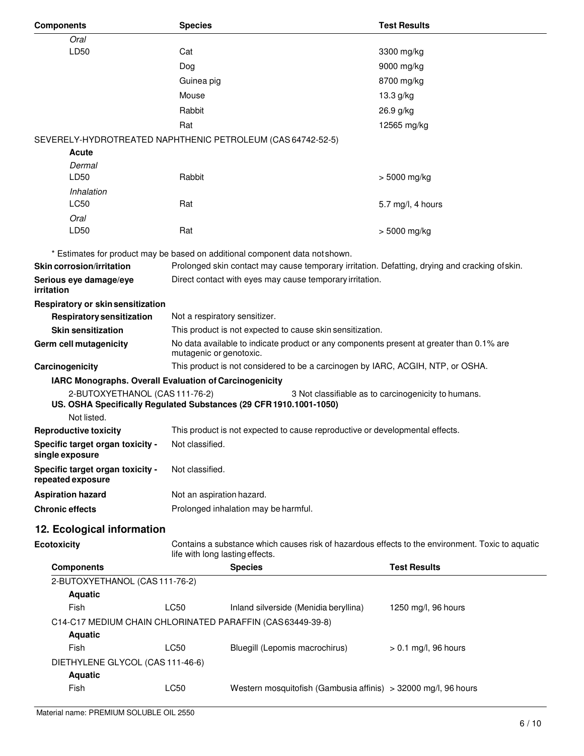| <b>Components</b>                                                                        | <b>Species</b>                                                                                                                      |                                                                                                                     | <b>Test Results</b>                                 |
|------------------------------------------------------------------------------------------|-------------------------------------------------------------------------------------------------------------------------------------|---------------------------------------------------------------------------------------------------------------------|-----------------------------------------------------|
| Oral                                                                                     |                                                                                                                                     |                                                                                                                     |                                                     |
| LD50                                                                                     | Cat                                                                                                                                 |                                                                                                                     | 3300 mg/kg                                          |
|                                                                                          | Dog                                                                                                                                 |                                                                                                                     | 9000 mg/kg                                          |
|                                                                                          | Guinea pig                                                                                                                          |                                                                                                                     | 8700 mg/kg                                          |
|                                                                                          | Mouse                                                                                                                               |                                                                                                                     | 13.3 g/kg                                           |
|                                                                                          | Rabbit                                                                                                                              |                                                                                                                     | 26.9 g/kg                                           |
|                                                                                          | Rat                                                                                                                                 |                                                                                                                     | 12565 mg/kg                                         |
| SEVERELY-HYDROTREATED NAPHTHENIC PETROLEUM (CAS 64742-52-5)                              |                                                                                                                                     |                                                                                                                     |                                                     |
| Acute                                                                                    |                                                                                                                                     |                                                                                                                     |                                                     |
| Dermal                                                                                   |                                                                                                                                     |                                                                                                                     |                                                     |
| LD50                                                                                     | Rabbit                                                                                                                              |                                                                                                                     | > 5000 mg/kg                                        |
| Inhalation                                                                               |                                                                                                                                     |                                                                                                                     |                                                     |
| LC50                                                                                     | Rat                                                                                                                                 |                                                                                                                     | 5.7 mg/l, 4 hours                                   |
| Oral                                                                                     |                                                                                                                                     |                                                                                                                     |                                                     |
| LD50                                                                                     | Rat                                                                                                                                 |                                                                                                                     | > 5000 mg/kg                                        |
|                                                                                          |                                                                                                                                     | * Estimates for product may be based on additional component data not shown.                                        |                                                     |
| <b>Skin corrosion/irritation</b>                                                         |                                                                                                                                     | Prolonged skin contact may cause temporary irritation. Defatting, drying and cracking of skin.                      |                                                     |
| Serious eye damage/eye                                                                   |                                                                                                                                     | Direct contact with eyes may cause temporary irritation.                                                            |                                                     |
| <b>irritation</b>                                                                        |                                                                                                                                     |                                                                                                                     |                                                     |
| Respiratory or skin sensitization                                                        |                                                                                                                                     |                                                                                                                     |                                                     |
| <b>Respiratory sensitization</b>                                                         | Not a respiratory sensitizer.                                                                                                       |                                                                                                                     |                                                     |
| <b>Skin sensitization</b>                                                                |                                                                                                                                     | This product is not expected to cause skin sensitization.                                                           |                                                     |
| Germ cell mutagenicity                                                                   |                                                                                                                                     | No data available to indicate product or any components present at greater than 0.1% are<br>mutagenic or genotoxic. |                                                     |
| Carcinogenicity                                                                          |                                                                                                                                     | This product is not considered to be a carcinogen by IARC, ACGIH, NTP, or OSHA.                                     |                                                     |
| IARC Monographs. Overall Evaluation of Carcinogenicity<br>2-BUTOXYETHANOL (CAS 111-76-2) |                                                                                                                                     | US. OSHA Specifically Regulated Substances (29 CFR 1910.1001-1050)                                                  | 3 Not classifiable as to carcinogenicity to humans. |
| Not listed.                                                                              |                                                                                                                                     |                                                                                                                     |                                                     |
| <b>Reproductive toxicity</b>                                                             | This product is not expected to cause reproductive or developmental effects.                                                        |                                                                                                                     |                                                     |
| Specific target organ toxicity -<br>single exposure                                      | Not classified.                                                                                                                     |                                                                                                                     |                                                     |
| Specific target organ toxicity -<br>repeated exposure                                    | Not classified.                                                                                                                     |                                                                                                                     |                                                     |
|                                                                                          |                                                                                                                                     |                                                                                                                     |                                                     |
| <b>Aspiration hazard</b>                                                                 | Not an aspiration hazard.<br>Prolonged inhalation may be harmful.                                                                   |                                                                                                                     |                                                     |
| <b>Chronic effects</b>                                                                   |                                                                                                                                     |                                                                                                                     |                                                     |
| 12. Ecological information                                                               |                                                                                                                                     |                                                                                                                     |                                                     |
| <b>Ecotoxicity</b>                                                                       | Contains a substance which causes risk of hazardous effects to the environment. Toxic to aquatic<br>life with long lasting effects. |                                                                                                                     |                                                     |
| <b>Components</b>                                                                        |                                                                                                                                     | <b>Species</b>                                                                                                      | <b>Test Results</b>                                 |
| 2-BUTOXYETHANOL (CAS 111-76-2)                                                           |                                                                                                                                     |                                                                                                                     |                                                     |
| <b>Aquatic</b>                                                                           |                                                                                                                                     |                                                                                                                     |                                                     |
| Fish                                                                                     | LC50                                                                                                                                | Inland silverside (Menidia beryllina)                                                                               | 1250 mg/l, 96 hours                                 |
| C14-C17 MEDIUM CHAIN CHLORINATED PARAFFIN (CAS 63449-39-8)                               |                                                                                                                                     |                                                                                                                     |                                                     |
| <b>Aquatic</b>                                                                           |                                                                                                                                     |                                                                                                                     |                                                     |
| Fish                                                                                     | LC50                                                                                                                                | Bluegill (Lepomis macrochirus)                                                                                      | $> 0.1$ mg/l, 96 hours                              |
| DIETHYLENE GLYCOL (CAS 111-46-6)                                                         |                                                                                                                                     |                                                                                                                     |                                                     |
| <b>Aquatic</b>                                                                           |                                                                                                                                     |                                                                                                                     |                                                     |
| Fish                                                                                     | LC50                                                                                                                                | Western mosquitofish (Gambusia affinis) > 32000 mg/l, 96 hours                                                      |                                                     |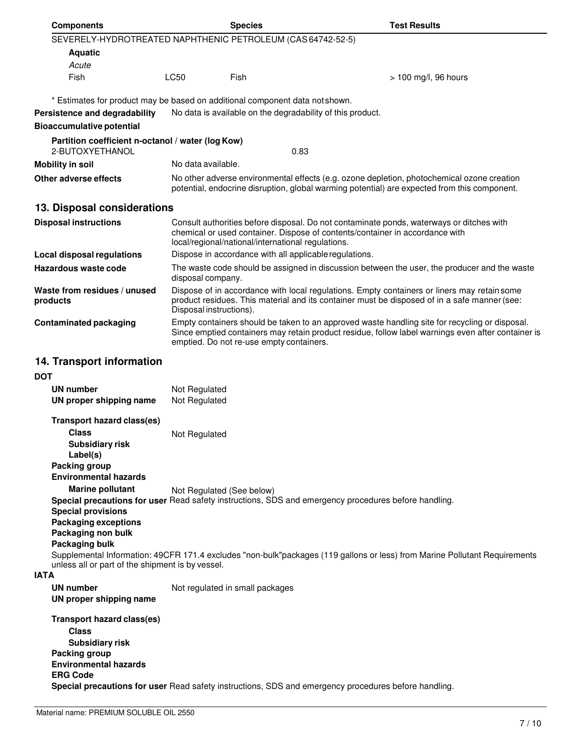| <b>Components</b>                                                                                                                               |                                                                                                                                                                                                                        | <b>Species</b>                                             | <b>Test Results</b>                                                                                                                                                                                  |
|-------------------------------------------------------------------------------------------------------------------------------------------------|------------------------------------------------------------------------------------------------------------------------------------------------------------------------------------------------------------------------|------------------------------------------------------------|------------------------------------------------------------------------------------------------------------------------------------------------------------------------------------------------------|
| SEVERELY-HYDROTREATED NAPHTHENIC PETROLEUM (CAS 64742-52-5)                                                                                     |                                                                                                                                                                                                                        |                                                            |                                                                                                                                                                                                      |
| <b>Aquatic</b>                                                                                                                                  |                                                                                                                                                                                                                        |                                                            |                                                                                                                                                                                                      |
| Acute                                                                                                                                           |                                                                                                                                                                                                                        |                                                            |                                                                                                                                                                                                      |
| Fish                                                                                                                                            | LC50                                                                                                                                                                                                                   | Fish                                                       | > 100 mg/l, 96 hours                                                                                                                                                                                 |
| * Estimates for product may be based on additional component data not shown.                                                                    |                                                                                                                                                                                                                        |                                                            |                                                                                                                                                                                                      |
| Persistence and degradability                                                                                                                   |                                                                                                                                                                                                                        | No data is available on the degradability of this product. |                                                                                                                                                                                                      |
| <b>Bioaccumulative potential</b>                                                                                                                |                                                                                                                                                                                                                        |                                                            |                                                                                                                                                                                                      |
| Partition coefficient n-octanol / water (log Kow)<br>2-BUTOXYETHANOL                                                                            |                                                                                                                                                                                                                        | 0.83                                                       |                                                                                                                                                                                                      |
| <b>Mobility in soil</b>                                                                                                                         | No data available.                                                                                                                                                                                                     |                                                            |                                                                                                                                                                                                      |
| Other adverse effects                                                                                                                           |                                                                                                                                                                                                                        |                                                            | No other adverse environmental effects (e.g. ozone depletion, photochemical ozone creation<br>potential, endocrine disruption, global warming potential) are expected from this component.           |
| 13. Disposal considerations                                                                                                                     |                                                                                                                                                                                                                        |                                                            |                                                                                                                                                                                                      |
| <b>Disposal instructions</b>                                                                                                                    |                                                                                                                                                                                                                        | local/regional/national/international regulations.         | Consult authorities before disposal. Do not contaminate ponds, waterways or ditches with<br>chemical or used container. Dispose of contents/container in accordance with                             |
| <b>Local disposal regulations</b>                                                                                                               |                                                                                                                                                                                                                        | Dispose in accordance with all applicable regulations.     |                                                                                                                                                                                                      |
| Hazardous waste code                                                                                                                            | disposal company.                                                                                                                                                                                                      |                                                            | The waste code should be assigned in discussion between the user, the producer and the waste                                                                                                         |
| Waste from residues / unused<br>products                                                                                                        | Dispose of in accordance with local regulations. Empty containers or liners may retain some<br>product residues. This material and its container must be disposed of in a safe manner (see:<br>Disposal instructions). |                                                            |                                                                                                                                                                                                      |
| <b>Contaminated packaging</b>                                                                                                                   |                                                                                                                                                                                                                        | emptied. Do not re-use empty containers.                   | Empty containers should be taken to an approved waste handling site for recycling or disposal.<br>Since emptied containers may retain product residue, follow label warnings even after container is |
| 14. Transport information<br><b>DOT</b><br><b>UN number</b>                                                                                     | Not Regulated                                                                                                                                                                                                          |                                                            |                                                                                                                                                                                                      |
| UN proper shipping name                                                                                                                         | Not Regulated                                                                                                                                                                                                          |                                                            |                                                                                                                                                                                                      |
| Transport hazard class(es)                                                                                                                      |                                                                                                                                                                                                                        |                                                            |                                                                                                                                                                                                      |
| <b>Class</b><br><b>Subsidiary risk</b><br>Label(s)<br>Packing group                                                                             | Not Regulated                                                                                                                                                                                                          |                                                            |                                                                                                                                                                                                      |
| <b>Environmental hazards</b><br><b>Marine pollutant</b><br><b>Special provisions</b><br><b>Packaging exceptions</b><br>Packaging non bulk       | Not Regulated (See below)                                                                                                                                                                                              |                                                            | Special precautions for user Read safety instructions, SDS and emergency procedures before handling.                                                                                                 |
| Packaging bulk<br>unless all or part of the shipment is by vessel.<br><b>IATA</b>                                                               |                                                                                                                                                                                                                        |                                                            | Supplemental Information: 49CFR 171.4 excludes "non-bulk"packages (119 gallons or less) from Marine Pollutant Requirements                                                                           |
| <b>UN number</b><br>UN proper shipping name                                                                                                     |                                                                                                                                                                                                                        | Not regulated in small packages                            |                                                                                                                                                                                                      |
| <b>Transport hazard class(es)</b><br><b>Class</b><br><b>Subsidiary risk</b><br>Packing group<br><b>Environmental hazards</b><br><b>ERG Code</b> |                                                                                                                                                                                                                        |                                                            | Special precautions for user Read safety instructions, SDS and emergency procedures before handling.                                                                                                 |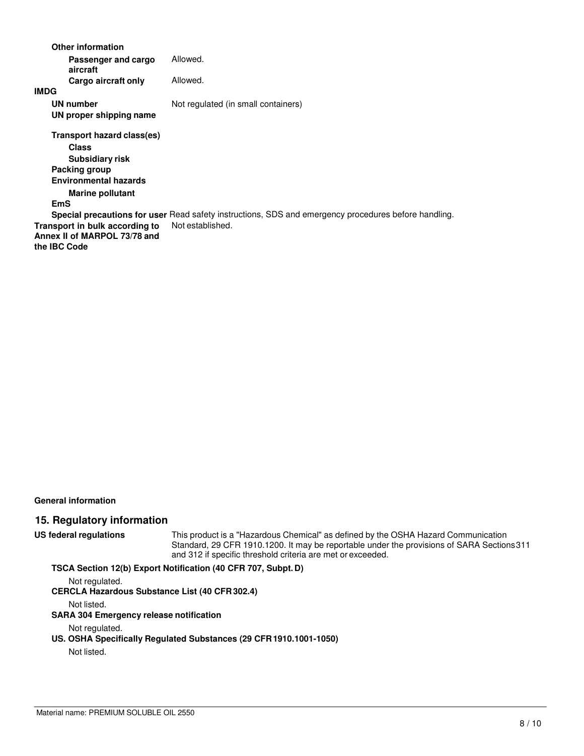| <b>Other information</b>                                                       |                                                                                                      |
|--------------------------------------------------------------------------------|------------------------------------------------------------------------------------------------------|
| Passenger and cargo<br>aircraft                                                | Allowed.                                                                                             |
| Cargo aircraft only                                                            | Allowed.                                                                                             |
| <b>IMDG</b>                                                                    |                                                                                                      |
| <b>UN number</b><br>UN proper shipping name                                    | Not regulated (in small containers)                                                                  |
| Transport hazard class(es)<br><b>Class</b><br>Subsidiary risk                  |                                                                                                      |
| Packing group                                                                  |                                                                                                      |
| <b>Environmental hazards</b>                                                   |                                                                                                      |
| <b>Marine pollutant</b><br><b>EmS</b>                                          |                                                                                                      |
|                                                                                | Special precautions for user Read safety instructions, SDS and emergency procedures before handling. |
| Transport in bulk according to<br>Annex II of MARPOL 73/78 and<br>the IBC Code | Not established.                                                                                     |
|                                                                                |                                                                                                      |

**General information** 

#### **15. Regulatory information**

**US federal regulations** This product is a "Hazardous Chemical" as defined by the OSHA Hazard Communication Standard, 29 CFR 1910.1200. It may be reportable under the provisions of SARA Sections 311 and 312 if specific threshold criteria are met or exceeded.

#### **TSCA Section 12(b) Export Notification (40 CFR 707, Subpt. D)**

Not regulated.

**CERCLA Hazardous Substance List (40 CFR 302.4)**

Not listed.

#### **SARA 304 Emergency release notification**

#### Not regulated.

#### **US. OSHA Specifically Regulated Substances (29 CFR 1910.1001-1050)**

Not listed.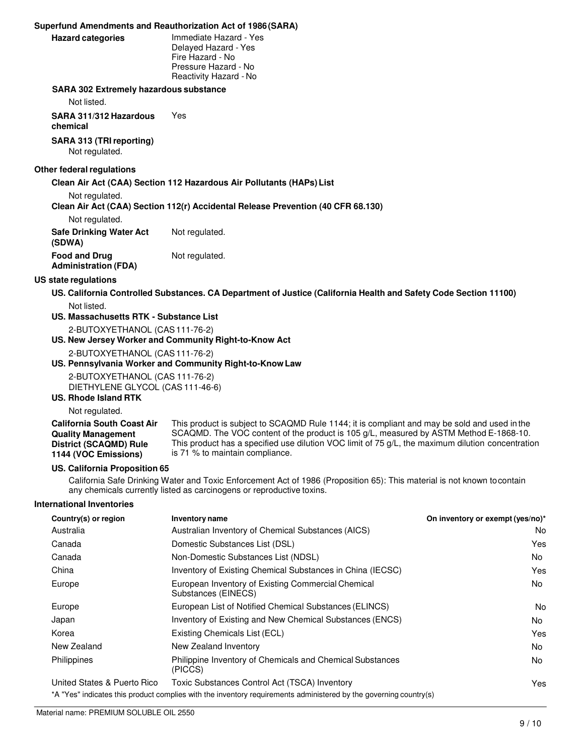|                                                     | Superfund Amendments and Reauthorization Act of 1986(SARA)                                                           |
|-----------------------------------------------------|----------------------------------------------------------------------------------------------------------------------|
| <b>Hazard categories</b>                            | Immediate Hazard - Yes<br>Delayed Hazard - Yes<br>Fire Hazard - No<br>Pressure Hazard - No<br>Reactivity Hazard - No |
| <b>SARA 302 Extremely hazardous substance</b>       |                                                                                                                      |
| Not listed.                                         |                                                                                                                      |
| SARA 311/312 Hazardous<br>chemical                  | Yes                                                                                                                  |
| SARA 313 (TRI reporting)<br>Not regulated.          |                                                                                                                      |
| <b>Other federal regulations</b>                    |                                                                                                                      |
|                                                     | Clean Air Act (CAA) Section 112 Hazardous Air Pollutants (HAPs) List                                                 |
| Not regulated.                                      |                                                                                                                      |
| Not regulated.                                      | Clean Air Act (CAA) Section 112(r) Accidental Release Prevention (40 CFR 68.130)                                     |
| <b>Safe Drinking Water Act</b><br>(SDWA)            | Not regulated.                                                                                                       |
| <b>Food and Drug</b><br><b>Administration (FDA)</b> | Not regulated.                                                                                                       |
| US state regulations                                |                                                                                                                      |
|                                                     | US. California Controlled Substances. CA Department of Justice (California Health and Safety Code Section 11100)     |
| Not listed.                                         |                                                                                                                      |
| US. Massachusetts RTK - Substance List              |                                                                                                                      |
| 2-BUTOXYETHANOL (CAS 111-76-2)                      |                                                                                                                      |

**US. New Jersey Worker and Community Right-to-Know Act**

2-BUTOXYETHANOL (CAS 111-76-2)

#### **US. Pennsylvania Worker and Community Right-to-Know Law**

2-BUTOXYETHANOL (CAS 111-76-2) DIETHYLENE GLYCOL (CAS 111-46-6)

#### **US. Rhode Island RTK**

Not regulated.

| <b>California South Coast Air</b> | This product is subject to SCAQMD Rule 1144; it is compliant and may be sold and used in the        |
|-----------------------------------|-----------------------------------------------------------------------------------------------------|
| <b>Quality Management</b>         | SCAQMD. The VOC content of the product is 105 $g/L$ , measured by ASTM Method E-1868-10.            |
| District (SCAQMD) Rule            | This product has a specified use dilution VOC limit of $75$ g/L, the maximum dilution concentration |
| 1144 (VOC Emissions)              | is 71 % to maintain compliance.                                                                     |

#### **US. California Proposition 65**

California Safe Drinking Water and Toxic Enforcement Act of 1986 (Proposition 65): This material is not known to contain any chemicals currently listed as carcinogens or reproductive toxins.

#### **International Inventories**

| Country(s) or region        | <b>Inventory name</b>                                                                                                                                              | On inventory or exempt (yes/no)* |
|-----------------------------|--------------------------------------------------------------------------------------------------------------------------------------------------------------------|----------------------------------|
| Australia                   | Australian Inventory of Chemical Substances (AICS)                                                                                                                 | No.                              |
| Canada                      | Domestic Substances List (DSL)                                                                                                                                     | Yes                              |
| Canada                      | Non-Domestic Substances List (NDSL)                                                                                                                                | No                               |
| China                       | Inventory of Existing Chemical Substances in China (IECSC)                                                                                                         | Yes                              |
| Europe                      | European Inventory of Existing Commercial Chemical<br>Substances (EINECS)                                                                                          | No.                              |
| Europe                      | European List of Notified Chemical Substances (ELINCS)                                                                                                             | No.                              |
| Japan                       | Inventory of Existing and New Chemical Substances (ENCS)                                                                                                           | No.                              |
| Korea                       | Existing Chemicals List (ECL)                                                                                                                                      | Yes                              |
| New Zealand                 | New Zealand Inventory                                                                                                                                              | No.                              |
| Philippines                 | Philippine Inventory of Chemicals and Chemical Substances<br>(PICCS)                                                                                               | No.                              |
| United States & Puerto Rico | Toxic Substances Control Act (TSCA) Inventory<br>*A "Yes" indicates this product complies with the inventory requirements administered by the governing country(s) | Yes.                             |